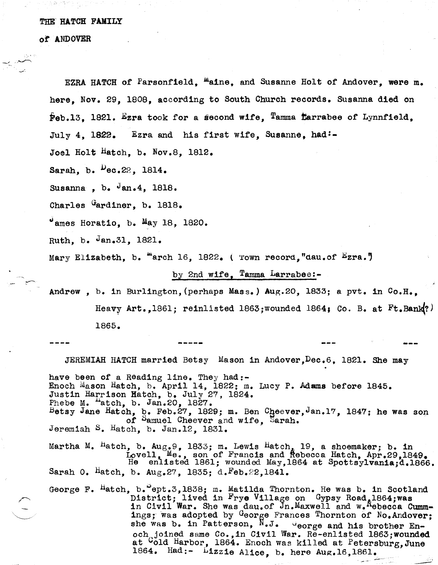## THE' HATCH FAMILY

or ANDOVER

EZRA HATCH of Parsonfield, <sup>m</sup>aine, and Susanne Holt of Andover, were m. here, Nov. 29, lS0S, according to South Church records. Susanna died on Peb.13, 1821. Ezra took for a second wife, Tamma tarrabee of Lynnfield, July 4, 1822. Ezra and his first wife, Susanne, had:-Joel Holt Hatch, b. Nov.S, 1812. Sarah, b.  $P_{\text{ec.22, 1814.}}$ Susanna, b.  $\sqrt{a}$ n.4, 1818. Charles Gardiner, b. 1818.  $^{\circ}$ ames Horatio, b. May 18, 1820. Ruth, b.  $Jan.31$ , 1821. Mary Elizabeth, b.  $H$ arch 16, 1822. (Town record, dau.of  $E_{Zra.}$ ) by 2nd wife, Tamma Larrabee:-Andrew, b. in Bur1ington,(perhaps Mass.) Aug.20, 1833; a pvt. in Co.H., Heavy Art.,1861; reinlisted 1863; wounded 1864; Co. B. at  $Ft$ .Bank?) 1865. JEREMIAH HATCH married Betsy Mason in Andover,Dec.6. 1821. She may have been of a Reading line. They had:-Enoch Mason Hatch, b. April 14, 1822; m. Lucy P. Adams before 1845. Justin Harrison Hatch, b. July 27, 1824. Phebe M. "atch, b. Jan.20, 1827. Betsy Jane Hatch,  $_{\text{Q}}$ . Feb.27, 1829; m. Ben Cheever, Jan.17, 1847; he was son of Samuel Cheever and wife, Sarah. Jeremiah S. Hatch, b. Jan.12, lS31. Martha M.  $H$ atch, b. Aug.9, 1833; m. Lewis Hatch, 19, a shoemaker; b. in Lovell, Me., son of Francis and Rebecca Hatch, Apr.29,1849.<br>He enlisted 1861; wounded May,1864 at Spottsylvania;d.1866. Sarah O.  $Hatch$ , b. Aug.27, 1835; d. $Feb.22,1841$ . George F. Hatch, b. ept.3,1838; m. Matilda Thornton. He was b. in Scotland District; lived in Frye Village on Gypsy Road, 1864;was in Civil War. She was dau.of Jn.Maxwell and w.Aebecca Cummings; was adopted by George Frances Thornton of No.Andover; she was b. in Patterson,  $N J.$   $U_{\text{eorge}}$  and his brother Enoch joined same Co., in Civil War. Re-enlisted 1863; wounded at <sup>C</sup>old Harbor, 1864. Enoch was killed at Petersburg, June

1864. Had:- Lizzie Alice. b. here  $Aug.16,1861.$